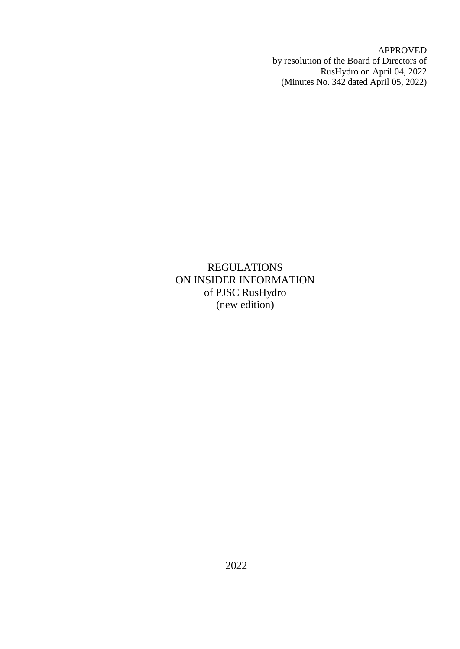APPROVED by resolution of the Board of Directors of RusHydro on April 04, 2022 (Minutes No. 342 dated April 05, 2022)

REGULATIONS ON INSIDER INFORMATION of PJSC RusHydro (new edition)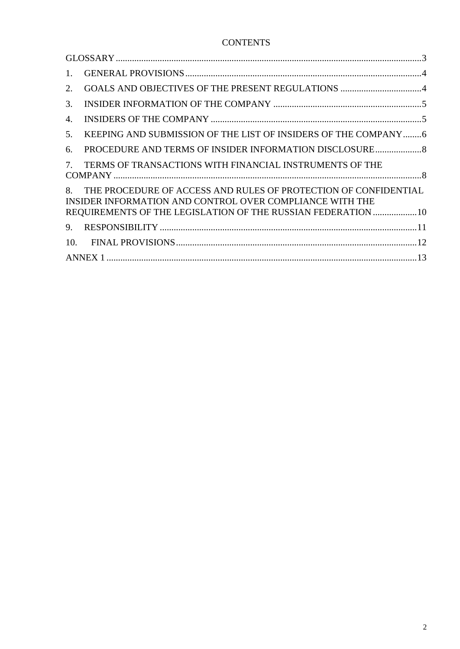# **CONTENTS**

| 1.  |                                                                                                                                                                                                 |  |  |  |
|-----|-------------------------------------------------------------------------------------------------------------------------------------------------------------------------------------------------|--|--|--|
| 2.  |                                                                                                                                                                                                 |  |  |  |
| 3.  |                                                                                                                                                                                                 |  |  |  |
| 4.  |                                                                                                                                                                                                 |  |  |  |
| 5.  | KEEPING AND SUBMISSION OF THE LIST OF INSIDERS OF THE COMPANY 6                                                                                                                                 |  |  |  |
| 6.  | PROCEDURE AND TERMS OF INSIDER INFORMATION DISCLOSURE                                                                                                                                           |  |  |  |
| 7.  | TERMS OF TRANSACTIONS WITH FINANCIAL INSTRUMENTS OF THE                                                                                                                                         |  |  |  |
|     | 8. THE PROCEDURE OF ACCESS AND RULES OF PROTECTION OF CONFIDENTIAL<br>INSIDER INFORMATION AND CONTROL OVER COMPLIANCE WITH THE<br>REQUIREMENTS OF THE LEGISLATION OF THE RUSSIAN FEDERATION  10 |  |  |  |
| 9.  |                                                                                                                                                                                                 |  |  |  |
| 10. |                                                                                                                                                                                                 |  |  |  |
|     |                                                                                                                                                                                                 |  |  |  |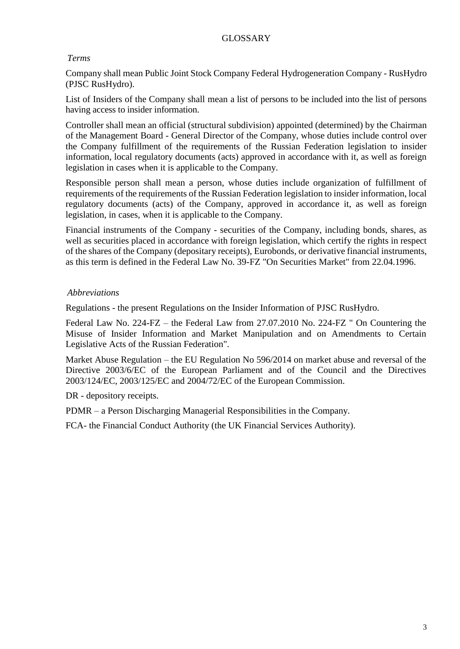# GLOSSARY

# <span id="page-2-0"></span>*Terms*

Company shall mean Public Joint Stock Company Federal Hydrogeneration Company - RusHydro (PJSC RusHydro).

List of Insiders of the Company shall mean a list of persons to be included into the list of persons having access to insider information.

Controller shall mean an official (structural subdivision) appointed (determined) by the Chairman of the Management Board - General Director of the Company, whose duties include control over the Company fulfillment of the requirements of the Russian Federation legislation to insider information, local regulatory documents (acts) approved in accordance with it, as well as foreign legislation in cases when it is applicable to the Company.

Responsible person shall mean a person, whose duties include organization of fulfillment of requirements of the requirements of the Russian Federation legislation to insider information, local regulatory documents (acts) of the Company, approved in accordance it, as well as foreign legislation, in cases, when it is applicable to the Company.

Financial instruments of the Company - securities of the Company, including bonds, shares, as well as securities placed in accordance with foreign legislation, which certify the rights in respect of the shares of the Company (depositary receipts), Eurobonds, or derivative financial instruments, as this term is defined in the Federal Law No. 39-FZ "On Securities Market" from 22.04.1996.

# *Abbreviations*

Regulations - the present Regulations on the Insider Information of PJSC RusHydro.

Federal Law No. 224-FZ – the Federal Law from 27.07.2010 No. 224-FZ " On Countering the Misuse of Insider Information and Market Manipulation and on Amendments to Certain Legislative Acts of the Russian Federation".

Market Abuse Regulation – the EU Regulation No 596/2014 on market abuse and reversal of the Directive 2003/6/EC of the European Parliament and of the Council and the Directives 2003/124/EC, 2003/125/EC and 2004/72/EC of the European Commission.

DR - depository receipts.

PDMR – a Person Discharging Managerial Responsibilities in the Company.

FCA- the Financial Conduct Authority (the UK Financial Services Authority).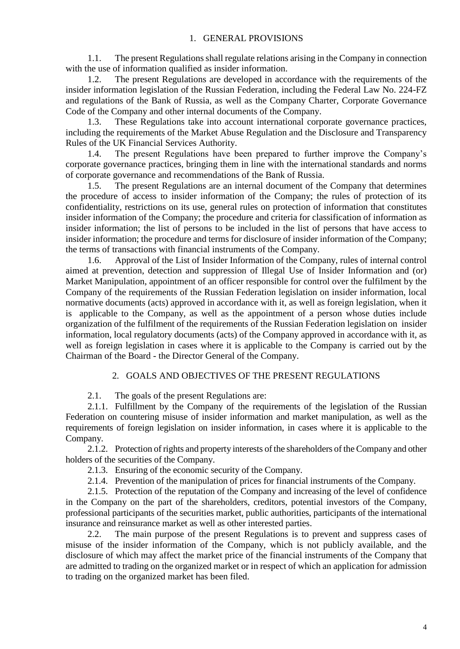### 1. GENERAL PROVISIONS

<span id="page-3-0"></span>1.1. The present Regulations shall regulate relations arising in the Company in connection with the use of information qualified as insider information.

1.2. The present Regulations are developed in accordance with the requirements of the insider information legislation of the Russian Federation, including the Federal Law No. 224-FZ and regulations of the Bank of Russia, as well as the Company Charter, Corporate Governance Code of the Company and other internal documents of the Company.

1.3. These Regulations take into account international corporate governance practices, including the requirements of the Market Abuse Regulation and the Disclosure and Transparency Rules of the UK Financial Services Authority.

1.4. The present Regulations have been prepared to further improve the Company's corporate governance practices, bringing them in line with the international standards and norms of corporate governance and recommendations of the Bank of Russia.

1.5. The present Regulations are an internal document of the Company that determines the procedure of access to insider information of the Company; the rules of protection of its confidentiality, restrictions on its use, general rules on protection of information that constitutes insider information of the Company; the procedure and criteria for classification of information as insider information; the list of persons to be included in the list of persons that have access to insider information; the procedure and terms for disclosure of insider information of the Company; the terms of transactions with financial instruments of the Company.

1.6. Approval of the List of Insider Information of the Company, rules of internal control aimed at prevention, detection and suppression of Illegal Use of Insider Information and (or) Market Manipulation, appointment of an officer responsible for control over the fulfilment by the Company of the requirements of the Russian Federation legislation on insider information, local normative documents (acts) approved in accordance with it, as well as foreign legislation, when it is applicable to the Company, as well as the appointment of a person whose duties include organization of the fulfilment of the requirements of the Russian Federation legislation on insider information, local regulatory documents (acts) of the Company approved in accordance with it, as well as foreign legislation in cases where it is applicable to the Company is carried out by the Chairman of the Board - the Director General of the Company.

# 2. GOALS AND OBJECTIVES OF THE PRESENT REGULATIONS

<span id="page-3-1"></span>2.1. The goals of the present Regulations are:

2.1.1. Fulfillment by the Company of the requirements of the legislation of the Russian Federation on countering misuse of insider information and market manipulation, as well as the requirements of foreign legislation on insider information, in cases where it is applicable to the Company.

2.1.2. Protection of rights and property interests of the shareholders of the Company and other holders of the securities of the Company.

2.1.3. Ensuring of the economic security of the Company.

2.1.4. Prevention of the manipulation of prices for financial instruments of the Company.

2.1.5. Protection of the reputation of the Company and increasing of the level of confidence in the Company on the part of the shareholders, creditors, potential investors of the Company, professional participants of the securities market, public authorities, participants of the international insurance and reinsurance market as well as other interested parties.

2.2. The main purpose of the present Regulations is to prevent and suppress cases of misuse of the insider information of the Company, which is not publicly available, and the disclosure of which may affect the market price of the financial instruments of the Company that are admitted to trading on the organized market or in respect of which an application for admission to trading on the organized market has been filed.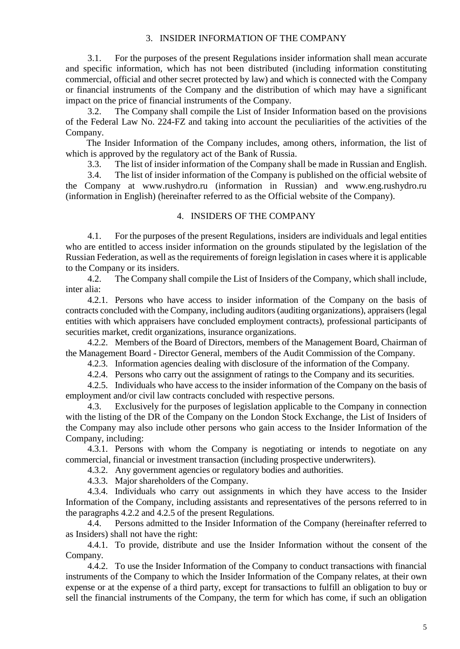### 3. INSIDER INFORMATION OF THE COMPANY

<span id="page-4-0"></span>3.1. For the purposes of the present Regulations insider information shall mean accurate and specific information, which has not been distributed (including information constituting commercial, official and other secret protected by law) and which is connected with the Company or financial instruments of the Company and the distribution of which may have a significant impact on the price of financial instruments of the Company.

3.2. The Company shall compile the List of Insider Information based on the provisions of the Federal Law No. 224-FZ and taking into account the peculiarities of the activities of the Company.

The Insider Information of the Company includes, among others, information, the list of which is approved by the regulatory act of the Bank of Russia.

3.3. The list of insider information of the Company shall be made in Russian and English.

3.4. The list of insider information of the Company is published on the official website of the Company at www.rushydro.ru (information in Russian) and www.eng.rushydro.ru (information in English) (hereinafter referred to as the Official website of the Company).

#### 4. INSIDERS OF THE COMPANY

<span id="page-4-1"></span>4.1. For the purposes of the present Regulations, insiders are individuals and legal entities who are entitled to access insider information on the grounds stipulated by the legislation of the Russian Federation, as well as the requirements of foreign legislation in cases where it is applicable to the Company or its insiders.

4.2. The Company shall compile the List of Insiders of the Company, which shall include, inter alia:

4.2.1. Persons who have access to insider information of the Company on the basis of contracts concluded with the Company, including auditors (auditing organizations), appraisers (legal entities with which appraisers have concluded employment contracts), professional participants of securities market, credit organizations, insurance organizations.

4.2.2. Members of the Board of Directors, members of the Management Board, Chairman of the Management Board - Director General, members of the Audit Commission of the Company.

4.2.3. Information agencies dealing with disclosure of the information of the Company.

4.2.4. Persons who carry out the assignment of ratings to the Company and its securities.

4.2.5. Individuals who have access to the insider information of the Company on the basis of employment and/or civil law contracts concluded with respective persons.

4.3. Exclusively for the purposes of legislation applicable to the Company in connection with the listing of the DR of the Company on the London Stock Exchange, the List of Insiders of the Company may also include other persons who gain access to the Insider Information of the Company, including:

4.3.1. Persons with whom the Company is negotiating or intends to negotiate on any commercial, financial or investment transaction (including prospective underwriters).

4.3.2. Any government agencies or regulatory bodies and authorities.

4.3.3. Major shareholders of the Company.

4.3.4. Individuals who carry out assignments in which they have access to the Insider Information of the Company, including assistants and representatives of the persons referred to in the paragraphs 4.2.2 and 4.2.5 of the present Regulations.

4.4. Persons admitted to the Insider Information of the Company (hereinafter referred to as Insiders) shall not have the right:

4.4.1. To provide, distribute and use the Insider Information without the consent of the Company.

4.4.2. To use the Insider Information of the Company to conduct transactions with financial instruments of the Company to which the Insider Information of the Company relates, at their own expense or at the expense of a third party, except for transactions to fulfill an obligation to buy or sell the financial instruments of the Company, the term for which has come, if such an obligation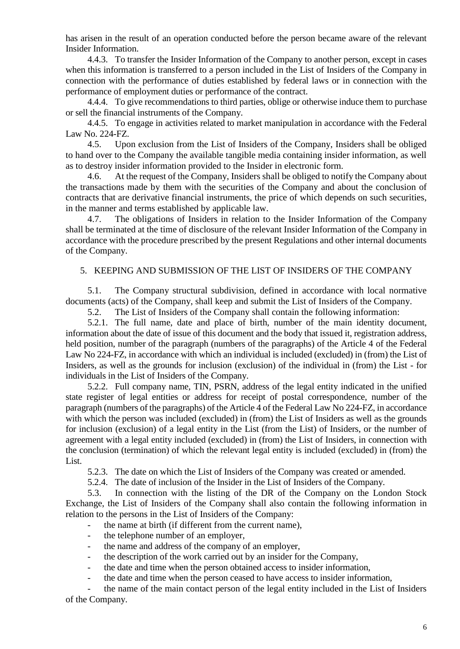has arisen in the result of an operation conducted before the person became aware of the relevant Insider Information.

4.4.3. To transfer the Insider Information of the Company to another person, except in cases when this information is transferred to a person included in the List of Insiders of the Company in connection with the performance of duties established by federal laws or in connection with the performance of employment duties or performance of the contract.

4.4.4. To give recommendations to third parties, oblige or otherwise induce them to purchase or sell the financial instruments of the Company.

4.4.5. To engage in activities related to market manipulation in accordance with the Federal Law No. 224-FZ.

4.5. Upon exclusion from the List of Insiders of the Company, Insiders shall be obliged to hand over to the Company the available tangible media containing insider information, as well as to destroy insider information provided to the Insider in electronic form.

4.6. At the request of the Company, Insiders shall be obliged to notify the Company about the transactions made by them with the securities of the Company and about the conclusion of contracts that are derivative financial instruments, the price of which depends on such securities, in the manner and terms established by applicable law.

4.7. The obligations of Insiders in relation to the Insider Information of the Company shall be terminated at the time of disclosure of the relevant Insider Information of the Company in accordance with the procedure prescribed by the present Regulations and other internal documents of the Company.

## <span id="page-5-0"></span>5. KEEPING AND SUBMISSION OF THE LIST OF INSIDERS OF THE COMPANY

5.1. The Company structural subdivision, defined in accordance with local normative documents (acts) of the Company, shall keep and submit the List of Insiders of the Company.

5.2. The List of Insiders of the Company shall contain the following information:

5.2.1. The full name, date and place of birth, number of the main identity document, information about the date of issue of this document and the body that issued it, registration address, held position, number of the paragraph (numbers of the paragraphs) of the Article 4 of the Federal Law No 224-FZ, in accordance with which an individual is included (excluded) in (from) the List of Insiders, as well as the grounds for inclusion (exclusion) of the individual in (from) the List - for individuals in the List of Insiders of the Company.

5.2.2. Full company name, TIN, PSRN, address of the legal entity indicated in the unified state register of legal entities or address for receipt of postal correspondence, number of the paragraph (numbers of the paragraphs) of the Article 4 of the Federal Law No 224-FZ, in accordance with which the person was included (excluded) in (from) the List of Insiders as well as the grounds for inclusion (exclusion) of a legal entity in the List (from the List) of Insiders, or the number of agreement with a legal entity included (excluded) in (from) the List of Insiders, in connection with the conclusion (termination) of which the relevant legal entity is included (excluded) in (from) the List.

5.2.3. The date on which the List of Insiders of the Company was created or amended.

5.2.4. The date of inclusion of the Insider in the List of Insiders of the Company.

5.3. In connection with the listing of the DR of the Company on the London Stock Exchange, the List of Insiders of the Company shall also contain the following information in relation to the persons in the List of Insiders of the Company:

- the name at birth (if different from the current name),
- the telephone number of an employer,
- the name and address of the company of an employer,
- the description of the work carried out by an insider for the Company,
- the date and time when the person obtained access to insider information,
	- the date and time when the person ceased to have access to insider information,

the name of the main contact person of the legal entity included in the List of Insiders of the Company.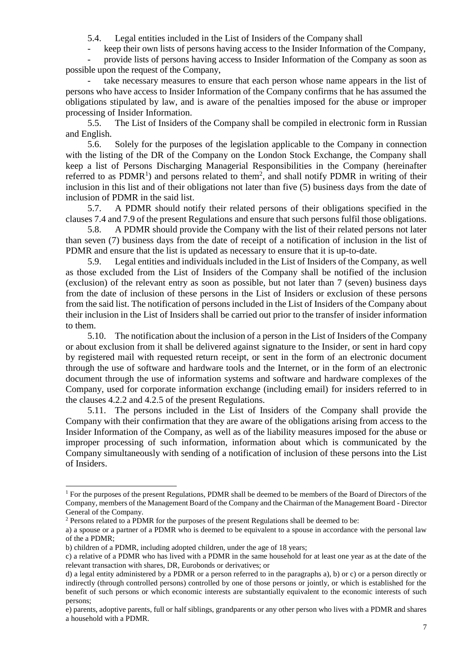5.4. Legal entities included in the List of Insiders of the Company shall

- keep their own lists of persons having access to the Insider Information of the Company,

- provide lists of persons having access to Insider Information of the Company as soon as possible upon the request of the Company,

take necessary measures to ensure that each person whose name appears in the list of persons who have access to Insider Information of the Company confirms that he has assumed the obligations stipulated by law, and is aware of the penalties imposed for the abuse or improper processing of Insider Information.

5.5. The List of Insiders of the Company shall be compiled in electronic form in Russian and English.

5.6. Solely for the purposes of the legislation applicable to the Company in connection with the listing of the DR of the Company on the London Stock Exchange, the Company shall keep a list of Persons Discharging Managerial Responsibilities in the Company (hereinafter referred to as  $PDMR<sup>1</sup>$  and persons related to them<sup>2</sup>, and shall notify PDMR in writing of their inclusion in this list and of their obligations not later than five (5) business days from the date of inclusion of PDMR in the said list.

5.7. A PDMR should notify their related persons of their obligations specified in the clauses 7.4 and 7.9 of the present Regulations and ensure that such persons fulfil those obligations.

5.8. A PDMR should provide the Company with the list of their related persons not later than seven (7) business days from the date of receipt of a notification of inclusion in the list of PDMR and ensure that the list is updated as necessary to ensure that it is up-to-date.

5.9. Legal entities and individuals included in the List of Insiders of the Company, as well as those excluded from the List of Insiders of the Company shall be notified of the inclusion (exclusion) of the relevant entry as soon as possible, but not later than 7 (seven) business days from the date of inclusion of these persons in the List of Insiders or exclusion of these persons from the said list. The notification of persons included in the List of Insiders of the Company about their inclusion in the List of Insiders shall be carried out prior to the transfer of insider information to them.

5.10. The notification about the inclusion of a person in the List of Insiders of the Company or about exclusion from it shall be delivered against signature to the Insider, or sent in hard copy by registered mail with requested return receipt, or sent in the form of an electronic document through the use of software and hardware tools and the Internet, or in the form of an electronic document through the use of information systems and software and hardware complexes of the Company, used for corporate information exchange (including email) for insiders referred to in the clauses 4.2.2 and 4.2.5 of the present Regulations.

5.11. The persons included in the List of Insiders of the Company shall provide the Company with their confirmation that they are aware of the obligations arising from access to the Insider Information of the Company, as well as of the liability measures imposed for the abuse or improper processing of such information, information about which is communicated by the Company simultaneously with sending of a notification of inclusion of these persons into the List of Insiders.

-

<sup>&</sup>lt;sup>1</sup> For the purposes of the present Regulations, PDMR shall be deemed to be members of the Board of Directors of the Company, members of the Management Board of the Company and the Chairman of the Management Board - Director General of the Company.

<sup>2</sup> Persons related to a PDMR for the purposes of the present Regulations shall be deemed to be:

a) a spouse or a partner of a PDMR who is deemed to be equivalent to a spouse in accordance with the personal law of the a PDMR;

b) children of a PDMR, including adopted children, under the age of 18 years;

c) a relative of a PDMR who has lived with a PDMR in the same household for at least one year as at the date of the relevant transaction with shares, DR, Eurobonds or derivatives; or

d) a legal entity administered by a PDMR or a person referred to in the paragraphs a), b) or c) or a person directly or indirectly (through controlled persons) controlled by one of those persons or jointly, or which is established for the benefit of such persons or which economic interests are substantially equivalent to the economic interests of such persons;

e) parents, adoptive parents, full or half siblings, grandparents or any other person who lives with a PDMR and shares a household with a PDMR.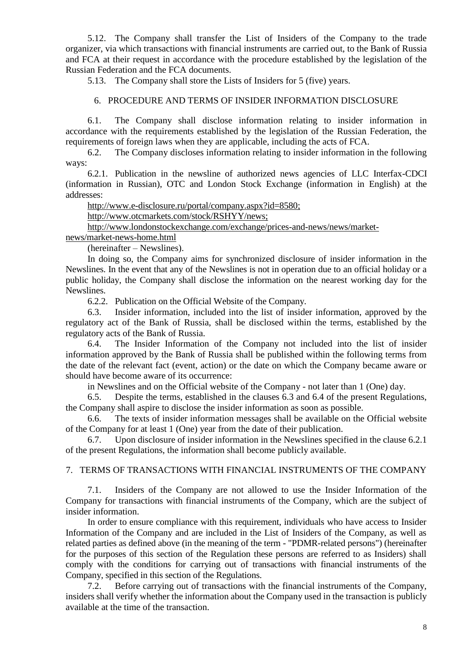5.12. The Company shall transfer the List of Insiders of the Company to the trade organizer, via which transactions with financial instruments are carried out, to the Bank of Russia and FCA at their request in accordance with the procedure established by the legislation of the Russian Federation and the FCA documents.

<span id="page-7-0"></span>5.13. The Company shall store the Lists of Insiders for 5 (five) years.

### 6. PROCEDURE AND TERMS OF INSIDER INFORMATION DISCLOSURE

6.1. The Company shall disclose information relating to insider information in accordance with the requirements established by the legislation of the Russian Federation, the requirements of foreign laws when they are applicable, including the acts of FCA.

6.2. The Company discloses information relating to insider information in the following ways:

6.2.1. Publication in the newsline of authorized news agencies of LLC Interfax-CDCI (information in Russian), OTC and London Stock Exchange (information in English) at the addresses:

[http://www.e-disclosure.ru/portal/company.aspx?id=8580;](http://www.e-disclosure.ru/portal/company.aspx?id=8580)

[http://www.otcmarkets.com/stock/RSHYY/news;](http://www.otcmarkets.com/stock/RSHYY/news)

[http://www.londonstockexchange.com/exchange/prices-and-news/news/market-](http://www.londonstockexchange.com/exchange/prices-and-news/news/market-news/market-news-home.html)

[news/market-news-home.html](http://www.londonstockexchange.com/exchange/prices-and-news/news/market-news/market-news-home.html)

(hereinafter – Newslines).

In doing so, the Company aims for synchronized disclosure of insider information in the Newslines. In the event that any of the Newslines is not in operation due to an official holiday or a public holiday, the Company shall disclose the information on the nearest working day for the Newslines.

6.2.2. Publication on the Official Website of the Company.

6.3. Insider information, included into the list of insider information, approved by the regulatory act of the Bank of Russia, shall be disclosed within the terms, established by the regulatory acts of the Bank of Russia.

6.4. The Insider Information of the Company not included into the list of insider information approved by the Bank of Russia shall be published within the following terms from the date of the relevant fact (event, action) or the date on which the Company became aware or should have become aware of its occurrence:

in Newslines and on the Official website of the Company - not later than 1 (One) day.

6.5. Despite the terms, established in the clauses 6.3 and 6.4 of the present Regulations, the Company shall aspire to disclose the insider information as soon as possible.

6.6. The texts of insider information messages shall be available on the Official website of the Company for at least 1 (One) year from the date of their publication.

6.7. Upon disclosure of insider information in the Newslines specified in the clause 6.2.1 of the present Regulations, the information shall become publicly available.

### <span id="page-7-1"></span>7. TERMS OF TRANSACTIONS WITH FINANCIAL INSTRUMENTS OF THE COMPANY

7.1. Insiders of the Company are not allowed to use the Insider Information of the Company for transactions with financial instruments of the Company, which are the subject of insider information.

In order to ensure compliance with this requirement, individuals who have access to Insider Information of the Company and are included in the List of Insiders of the Company, as well as related parties as defined above (in the meaning of the term - "PDMR-related persons") (hereinafter for the purposes of this section of the Regulation these persons are referred to as Insiders) shall comply with the conditions for carrying out of transactions with financial instruments of the Company, specified in this section of the Regulations.

7.2. Before carrying out of transactions with the financial instruments of the Company, insiders shall verify whether the information about the Company used in the transaction is publicly available at the time of the transaction.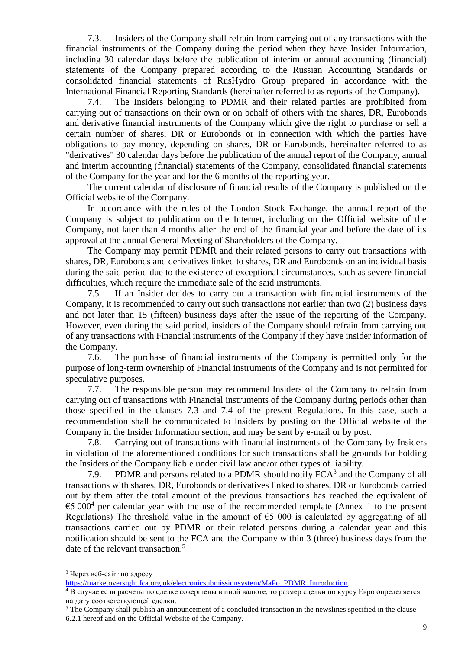7.3. Insiders of the Company shall refrain from carrying out of any transactions with the financial instruments of the Company during the period when they have Insider Information, including 30 calendar days before the publication of interim or annual accounting (financial) statements of the Company prepared according to the Russian Accounting Standards or consolidated financial statements of RusHydro Group prepared in accordance with the International Financial Reporting Standards (hereinafter referred to as reports of the Company).

7.4. The Insiders belonging to PDMR and their related parties are prohibited from carrying out of transactions on their own or on behalf of others with the shares, DR, Eurobonds and derivative financial instruments of the Company which give the right to purchase or sell a certain number of shares, DR or Eurobonds or in connection with which the parties have obligations to pay money, depending on shares, DR or Eurobonds, hereinafter referred to as "derivatives" 30 calendar days before the publication of the annual report of the Company, annual and interim accounting (financial) statements of the Company, consolidated financial statements of the Company for the year and for the 6 months of the reporting year.

The current calendar of disclosure of financial results of the Company is published on the Official website of the Company.

In accordance with the rules of the London Stock Exchange, the annual report of the Company is subject to publication on the Internet, including on the Official website of the Company, not later than 4 months after the end of the financial year and before the date of its approval at the annual General Meeting of Shareholders of the Company.

The Company may permit PDMR and their related persons to carry out transactions with shares, DR, Eurobonds and derivatives linked to shares, DR and Eurobonds on an individual basis during the said period due to the existence of exceptional circumstances, such as severe financial difficulties, which require the immediate sale of the said instruments.

7.5. If an Insider decides to carry out a transaction with financial instruments of the Company, it is recommended to carry out such transactions not earlier than two (2) business days and not later than 15 (fifteen) business days after the issue of the reporting of the Company. However, even during the said period, insiders of the Company should refrain from carrying out of any transactions with Financial instruments of the Company if they have insider information of the Company.

7.6. The purchase of financial instruments of the Company is permitted only for the purpose of long-term ownership of Financial instruments of the Company and is not permitted for speculative purposes.

7.7. The responsible person may recommend Insiders of the Company to refrain from carrying out of transactions with Financial instruments of the Company during periods other than those specified in the clauses 7.3 and 7.4 of the present Regulations. In this case, such a recommendation shall be communicated to Insiders by posting on the Official website of the Company in the Insider Information section, and may be sent by e-mail or by post.

7.8. Carrying out of transactions with financial instruments of the Company by Insiders in violation of the aforementioned conditions for such transactions shall be grounds for holding the Insiders of the Company liable under civil law and/or other types of liability.

7.9. PDMR and persons related to a PDMR should notify  $FCA<sup>3</sup>$  and the Company of all transactions with shares, DR, Eurobonds or derivatives linked to shares, DR or Eurobonds carried out by them after the total amount of the previous transactions has reached the equivalent of €5 000<sup>4</sup> per calendar year with the use of the recommended template (Annex 1 to the present Regulations) The threshold value in the amount of  $\epsilon$ 5 000 is calculated by aggregating of all transactions carried out by PDMR or their related persons during a calendar year and this notification should be sent to the FCA and the Company within 3 (three) business days from the date of the relevant transaction.<sup>5</sup>

-

<sup>3</sup> Через веб-сайт по адресу

[https://marketoversight.fca.org.uk/electronicsubmissionsystem/MaPo\\_PDMR\\_Introduction.](https://marketoversight.fca.org.uk/electronicsubmissionsystem/MaPo_PDMR_Introduction)

<sup>4</sup> В случае если расчеты по сделке совершены в иной валюте, то размер сделки по курсу Евро определяется на дату соответствующей сделки.

<sup>5</sup> The Company shall publish an announcement of a concluded transaction in the newslines specified in the clause 6.2.1 hereof and on the Official Website of the Company.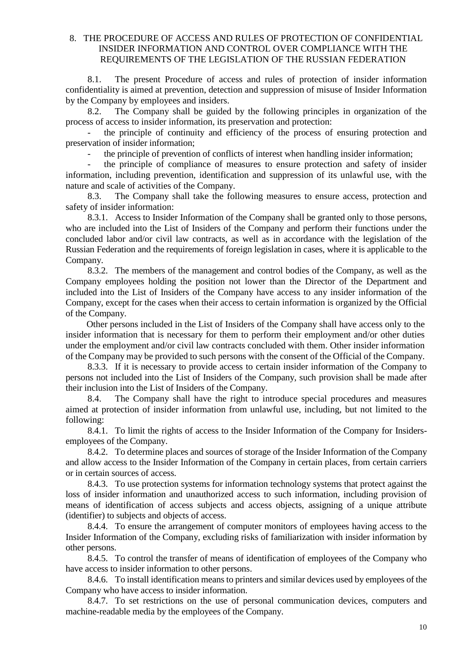## <span id="page-9-0"></span>8. THE PROCEDURE OF ACCESS AND RULES OF PROTECTION OF CONFIDENTIAL INSIDER INFORMATION AND CONTROL OVER COMPLIANCE WITH THE REQUIREMENTS OF THE LEGISLATION OF THE RUSSIAN FEDERATION

8.1. The present Procedure of access and rules of protection of insider information confidentiality is aimed at prevention, detection and suppression of misuse of Insider Information by the Company by employees and insiders.

8.2. The Company shall be guided by the following principles in organization of the process of access to insider information, its preservation and protection:

the principle of continuity and efficiency of the process of ensuring protection and preservation of insider information;

the principle of prevention of conflicts of interest when handling insider information;

the principle of compliance of measures to ensure protection and safety of insider information, including prevention, identification and suppression of its unlawful use, with the nature and scale of activities of the Company.

8.3. The Company shall take the following measures to ensure access, protection and safety of insider information:

8.3.1. Access to Insider Information of the Company shall be granted only to those persons, who are included into the List of Insiders of the Company and perform their functions under the concluded labor and/or civil law contracts, as well as in accordance with the legislation of the Russian Federation and the requirements of foreign legislation in cases, where it is applicable to the Company.

8.3.2. The members of the management and control bodies of the Company, as well as the Company employees holding the position not lower than the Director of the Department and included into the List of Insiders of the Company have access to any insider information of the Company, except for the cases when their access to certain information is organized by the Official of the Company.

Other persons included in the List of Insiders of the Company shall have access only to the insider information that is necessary for them to perform their employment and/or other duties under the employment and/or civil law contracts concluded with them. Other insider information of the Company may be provided to such persons with the consent of the Official of the Company.

8.3.3. If it is necessary to provide access to certain insider information of the Company to persons not included into the List of Insiders of the Company, such provision shall be made after their inclusion into the List of Insiders of the Company.

8.4. The Company shall have the right to introduce special procedures and measures aimed at protection of insider information from unlawful use, including, but not limited to the following:

8.4.1. To limit the rights of access to the Insider Information of the Company for Insidersemployees of the Company.

8.4.2. To determine places and sources of storage of the Insider Information of the Company and allow access to the Insider Information of the Company in certain places, from certain carriers or in certain sources of access.

8.4.3. To use protection systems for information technology systems that protect against the loss of insider information and unauthorized access to such information, including provision of means of identification of access subjects and access objects, assigning of a unique attribute (identifier) to subjects and objects of access.

8.4.4. To ensure the arrangement of computer monitors of employees having access to the Insider Information of the Company, excluding risks of familiarization with insider information by other persons.

8.4.5. To control the transfer of means of identification of employees of the Company who have access to insider information to other persons.

8.4.6. To install identification means to printers and similar devices used by employees of the Company who have access to insider information.

8.4.7. To set restrictions on the use of personal communication devices, computers and machine-readable media by the employees of the Company.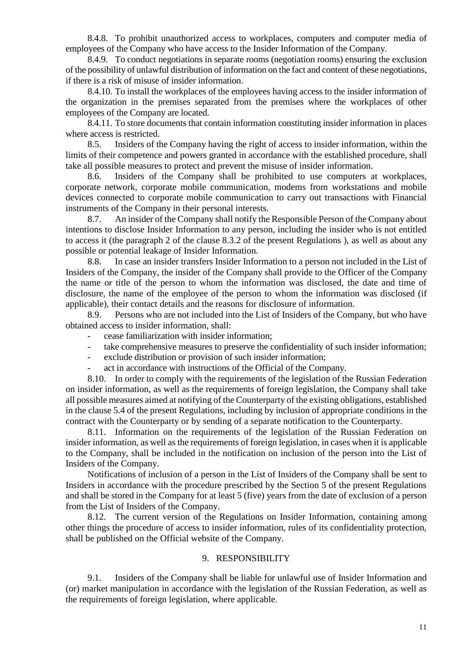8.4.8. To prohibit unauthorized access to workplaces, computers and computer media of employees of the Company who have access to the Insider Information of the Company.

8.4.9. To conduct negotiations in separate rooms (negotiation rooms) ensuring the exclusion of the possibility of unlawful distribution of information on the fact and content of these negotiations, if there is a risk of misuse of insider information.

8.4.10. To install the workplaces of the employees having access to the insider information of the organization in the premises separated from the premises where the workplaces of other employees of the Company are located.

8.4.11. To store documents that contain information constituting insider information in places where access is restricted.

8.5. Insiders of the Company having the right of access to insider information, within the limits of their competence and powers granted in accordance with the established procedure, shall take all possible measures to protect and prevent the misuse of insider information.

8.6. Insiders of the Company shall be prohibited to use computers at workplaces, corporate network, corporate mobile communication, modems from workstations and mobile devices connected to corporate mobile communication to carry out transactions with Financial instruments of the Company in their personal interests.

8.7. An insider of the Company shall notify the Responsible Person of the Company about intentions to disclose Insider Information to any person, including the insider who is not entitled to access it (the paragraph 2 of the clause 8.3.2 of the present Regulations ), as well as about any possible or potential leakage of Insider Information.

8.8. In case an insider transfers Insider Information to a person not included in the List of Insiders of the Company, the insider of the Company shall provide to the Officer of the Company the name or title of the person to whom the information was disclosed, the date and time of disclosure, the name of the employee of the person to whom the information was disclosed (if applicable), their contact details and the reasons for disclosure of information.

8.9. Persons who are not included into the List of Insiders of the Company, but who have obtained access to insider information, shall:

- cease familiarization with insider information;
- take comprehensive measures to preserve the confidentiality of such insider information;
- exclude distribution or provision of such insider information;
- act in accordance with instructions of the Official of the Company.

8.10. In order to comply with the requirements of the legislation of the Russian Federation on insider information, as well as the requirements of foreign legislation, the Company shall take all possible measures aimed at notifying of the Counterparty of the existing obligations, established in the clause 5.4 of the present Regulations, including by inclusion of appropriate conditions in the contract with the Counterparty or by sending of a separate notification to the Counterparty.

8.11. Information on the requirements of the legislation of the Russian Federation on insider information, as well as the requirements of foreign legislation, in cases when it is applicable to the Company, shall be included in the notification on inclusion of the person into the List of Insiders of the Company.

Notifications of inclusion of a person in the List of Insiders of the Company shall be sent to Insiders in accordance with the procedure prescribed by the Section 5 of the present Regulations and shall be stored in the Company for at least 5 (five) years from the date of exclusion of a person from the List of Insiders of the Company.

8.12. The current version of the Regulations on Insider Information, containing among other things the procedure of access to insider information, rules of its confidentiality protection, shall be published on the Official website of the Company.

#### 9. RESPONSIBILITY

<span id="page-10-0"></span>9.1. Insiders of the Company shall be liable for unlawful use of Insider Information and (or) market manipulation in accordance with the legislation of the Russian Federation, as well as the requirements of foreign legislation, where applicable.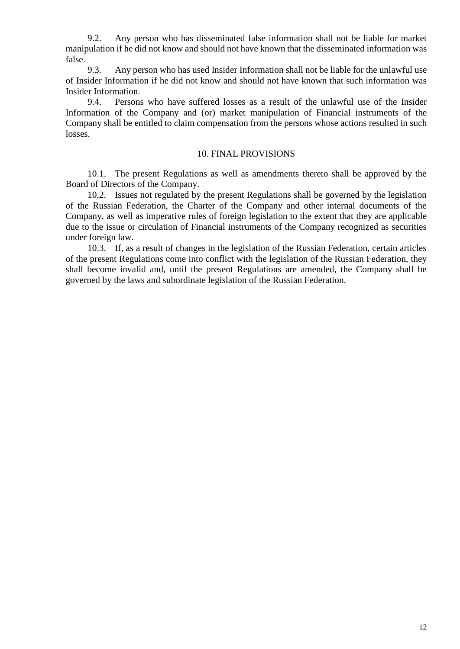9.2. Any person who has disseminated false information shall not be liable for market manipulation if he did not know and should not have known that the disseminated information was false.

9.3. Any person who has used Insider Information shall not be liable for the unlawful use of Insider Information if he did not know and should not have known that such information was Insider Information.

9.4. Persons who have suffered losses as a result of the unlawful use of the Insider Information of the Company and (or) market manipulation of Financial instruments of the Company shall be entitled to claim compensation from the persons whose actions resulted in such losses.

#### 10. FINAL PROVISIONS

<span id="page-11-0"></span>10.1. The present Regulations as well as amendments thereto shall be approved by the Board of Directors of the Company.

10.2. Issues not regulated by the present Regulations shall be governed by the legislation of the Russian Federation, the Charter of the Company and other internal documents of the Company, as well as imperative rules of foreign legislation to the extent that they are applicable due to the issue or circulation of Financial instruments of the Company recognized as securities under foreign law.

10.3. If, as a result of changes in the legislation of the Russian Federation, certain articles of the present Regulations come into conflict with the legislation of the Russian Federation, they shall become invalid and, until the present Regulations are amended, the Company shall be governed by the laws and subordinate legislation of the Russian Federation.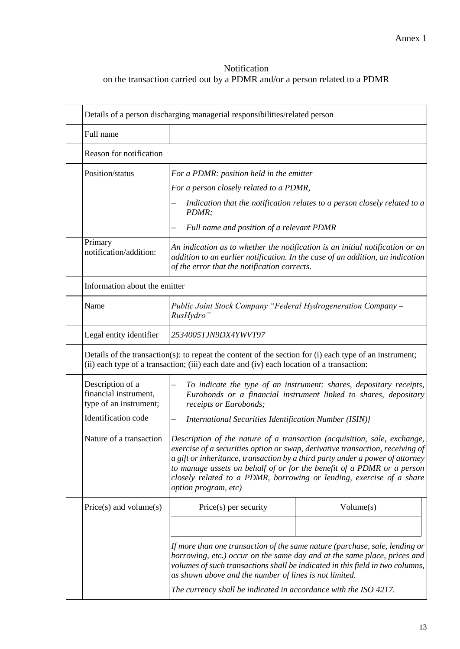# <span id="page-12-0"></span>Notification on the transaction carried out by a PDMR and/or a person related to a PDMR

| Reason for notification                                                                                                                                                                              |                                                                                                                                                                                                                                                                                                                                                                                                                             |  |  |  |
|------------------------------------------------------------------------------------------------------------------------------------------------------------------------------------------------------|-----------------------------------------------------------------------------------------------------------------------------------------------------------------------------------------------------------------------------------------------------------------------------------------------------------------------------------------------------------------------------------------------------------------------------|--|--|--|
| Position/status                                                                                                                                                                                      | For a PDMR: position held in the emitter                                                                                                                                                                                                                                                                                                                                                                                    |  |  |  |
|                                                                                                                                                                                                      | For a person closely related to a PDMR,                                                                                                                                                                                                                                                                                                                                                                                     |  |  |  |
|                                                                                                                                                                                                      | Indication that the notification relates to a person closely related to a<br>PDMR;                                                                                                                                                                                                                                                                                                                                          |  |  |  |
|                                                                                                                                                                                                      | Full name and position of a relevant PDMR                                                                                                                                                                                                                                                                                                                                                                                   |  |  |  |
| Primary<br>notification/addition:                                                                                                                                                                    | An indication as to whether the notification is an initial notification or an<br>addition to an earlier notification. In the case of an addition, an indication<br>of the error that the notification corrects.                                                                                                                                                                                                             |  |  |  |
| Information about the emitter                                                                                                                                                                        |                                                                                                                                                                                                                                                                                                                                                                                                                             |  |  |  |
| Name                                                                                                                                                                                                 | <b>Public Joint Stock Company "Federal Hydrogeneration Company -</b><br>RusHydro"                                                                                                                                                                                                                                                                                                                                           |  |  |  |
| Legal entity identifier                                                                                                                                                                              | 2534005TJN9DX4YWVT97                                                                                                                                                                                                                                                                                                                                                                                                        |  |  |  |
| Details of the transaction(s): to repeat the content of the section for (i) each type of an instrument;<br>(ii) each type of a transaction; (iii) each date and (iv) each location of a transaction: |                                                                                                                                                                                                                                                                                                                                                                                                                             |  |  |  |
| Description of a                                                                                                                                                                                     | To indicate the type of an instrument: shares, depositary receipts,<br>—                                                                                                                                                                                                                                                                                                                                                    |  |  |  |
| financial instrument,<br>type of an instrument;                                                                                                                                                      | Eurobonds or a financial instrument linked to shares, depositary<br>receipts or Eurobonds;                                                                                                                                                                                                                                                                                                                                  |  |  |  |
| Identification code                                                                                                                                                                                  | <b>International Securities Identification Number (ISIN)]</b><br>$\overline{\phantom{0}}$                                                                                                                                                                                                                                                                                                                                   |  |  |  |
| Nature of a transaction                                                                                                                                                                              | Description of the nature of a transaction (acquisition, sale, exchange,<br>exercise of a securities option or swap, derivative transaction, receiving of<br>a gift or inheritance, transaction by a third party under a power of attorney<br>to manage assets on behalf of or for the benefit of a PDMR or a person<br>closely related to a PDMR, borrowing or lending, exercise of a share<br><i>option program, etc)</i> |  |  |  |
| $Price(s)$ and volume $(s)$                                                                                                                                                                          | Volume(s)<br>$Price(s)$ per security                                                                                                                                                                                                                                                                                                                                                                                        |  |  |  |